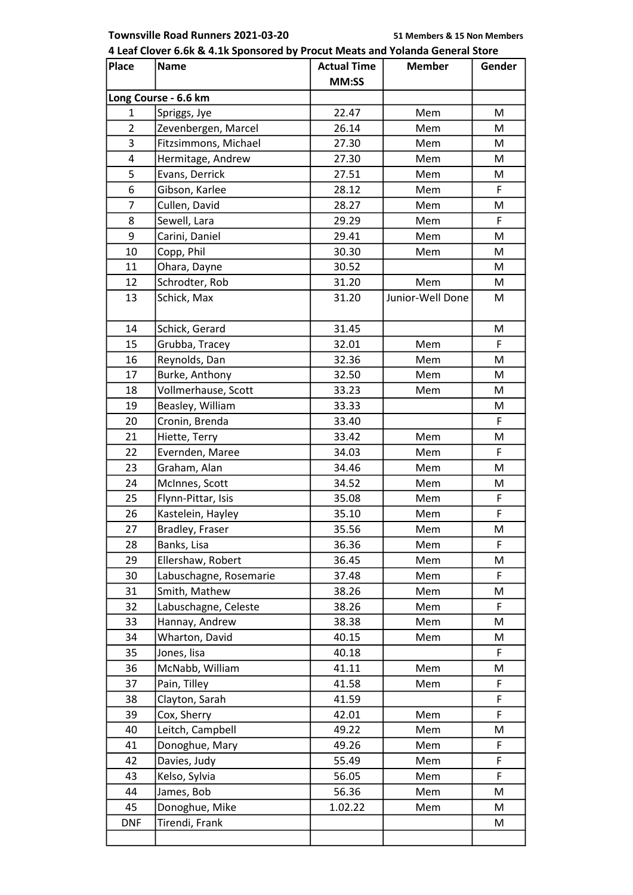|                      | Townsville Road Runners 2021-03-20<br>4 Leaf Clover 6.6k & 4.1k Sponsored by Procut Meats and Yolanda General Store | 51 Members & 15 Non Members |                  |        |  |  |
|----------------------|---------------------------------------------------------------------------------------------------------------------|-----------------------------|------------------|--------|--|--|
| <b>Place</b>         | <b>Name</b>                                                                                                         | <b>Actual Time</b><br>MM:SS | <b>Member</b>    | Gender |  |  |
| Long Course - 6.6 km |                                                                                                                     |                             |                  |        |  |  |
| $\mathbf{1}$         | Spriggs, Jye                                                                                                        | 22.47                       | Mem              | M      |  |  |
| $\overline{2}$       | Zevenbergen, Marcel                                                                                                 | 26.14                       | Mem              | M      |  |  |
| 3                    | Fitzsimmons, Michael                                                                                                | 27.30                       | Mem              | M      |  |  |
| 4                    | Hermitage, Andrew                                                                                                   | 27.30                       | Mem              | M      |  |  |
| 5                    | Evans, Derrick                                                                                                      | 27.51                       | Mem              | M      |  |  |
| 6                    | Gibson, Karlee                                                                                                      | 28.12                       | Mem              | F      |  |  |
| 7                    | Cullen, David                                                                                                       | 28.27                       | Mem              | M      |  |  |
| 8                    | Sewell, Lara                                                                                                        | 29.29                       | Mem              | F      |  |  |
| 9                    | Carini, Daniel                                                                                                      | 29.41                       | Mem              | M      |  |  |
| 10                   | Copp, Phil                                                                                                          | 30.30                       | Mem              | M      |  |  |
| 11                   | Ohara, Dayne                                                                                                        | 30.52                       |                  | M      |  |  |
| 12                   | Schrodter, Rob                                                                                                      | 31.20                       | Mem              | M      |  |  |
| 13                   | Schick, Max                                                                                                         | 31.20                       | Junior-Well Done | M      |  |  |
| 14                   | Schick, Gerard                                                                                                      | 31.45                       |                  | M      |  |  |
| 15                   | Grubba, Tracey                                                                                                      | 32.01                       | Mem              | F      |  |  |
| 16                   | Reynolds, Dan                                                                                                       | 32.36                       | Mem              | M      |  |  |
| 17                   | Burke, Anthony                                                                                                      | 32.50                       | Mem              | M      |  |  |
| 18                   | Vollmerhause, Scott                                                                                                 | 33.23                       | Mem              | M      |  |  |
| 19                   | Beasley, William                                                                                                    | 33.33                       |                  | M      |  |  |
| 20                   | Cronin, Brenda                                                                                                      | 33.40                       |                  | F      |  |  |
| 21                   | Hiette, Terry                                                                                                       | 33.42                       | Mem              | M      |  |  |
| 22                   | Evernden, Maree                                                                                                     | 34.03                       | Mem              | F      |  |  |
| 23                   | Graham, Alan                                                                                                        | 34.46                       | Mem              | M      |  |  |
| 24                   | McInnes, Scott                                                                                                      | 34.52                       | Mem              | M      |  |  |
| 25                   | Flynn-Pittar, Isis                                                                                                  | 35.08                       | Mem              | F      |  |  |
| 26                   | Kastelein, Hayley                                                                                                   | 35.10                       | Mem              | F      |  |  |
| 27                   | Bradley, Fraser                                                                                                     | 35.56                       | Mem              | M      |  |  |
| 28                   | Banks, Lisa                                                                                                         | 36.36                       | Mem              | F      |  |  |
| 29                   | Ellershaw, Robert                                                                                                   | 36.45                       | Mem              | M      |  |  |
| 30                   | Labuschagne, Rosemarie                                                                                              | 37.48                       | Mem              | F      |  |  |
| 31                   | Smith, Mathew                                                                                                       | 38.26                       | Mem              | M      |  |  |
| 32                   | Labuschagne, Celeste                                                                                                | 38.26                       | Mem              | F      |  |  |
| 33                   | Hannay, Andrew                                                                                                      | 38.38                       | Mem              | M      |  |  |
| 34                   | Wharton, David                                                                                                      | 40.15                       | Mem              | M      |  |  |
| 35                   | Jones, lisa                                                                                                         | 40.18                       |                  | F      |  |  |
| 36                   | McNabb, William                                                                                                     | 41.11                       | Mem              | M      |  |  |
| 37                   | Pain, Tilley                                                                                                        | 41.58                       | Mem              | F      |  |  |
| 38                   | Clayton, Sarah                                                                                                      | 41.59                       |                  | F      |  |  |
| 39                   | Cox, Sherry                                                                                                         | 42.01                       | Mem              | F      |  |  |
| 40                   | Leitch, Campbell                                                                                                    | 49.22                       | Mem              | M      |  |  |
| 41                   | Donoghue, Mary                                                                                                      | 49.26                       | Mem              | F      |  |  |
| 42                   | Davies, Judy                                                                                                        | 55.49                       | Mem              | F      |  |  |
| 43                   | Kelso, Sylvia                                                                                                       | 56.05                       | Mem              | F      |  |  |
| 44                   | James, Bob                                                                                                          | 56.36                       | Mem              | M      |  |  |

45 Donoghue, Mike 1.02.22 Mem M<br>
ME Tirendi, Frank M **Tirendi, Frank Marshall Marshall** Marshall Marshall Marshall Marshall Marshall Marshall Marshall Marshall Marsh